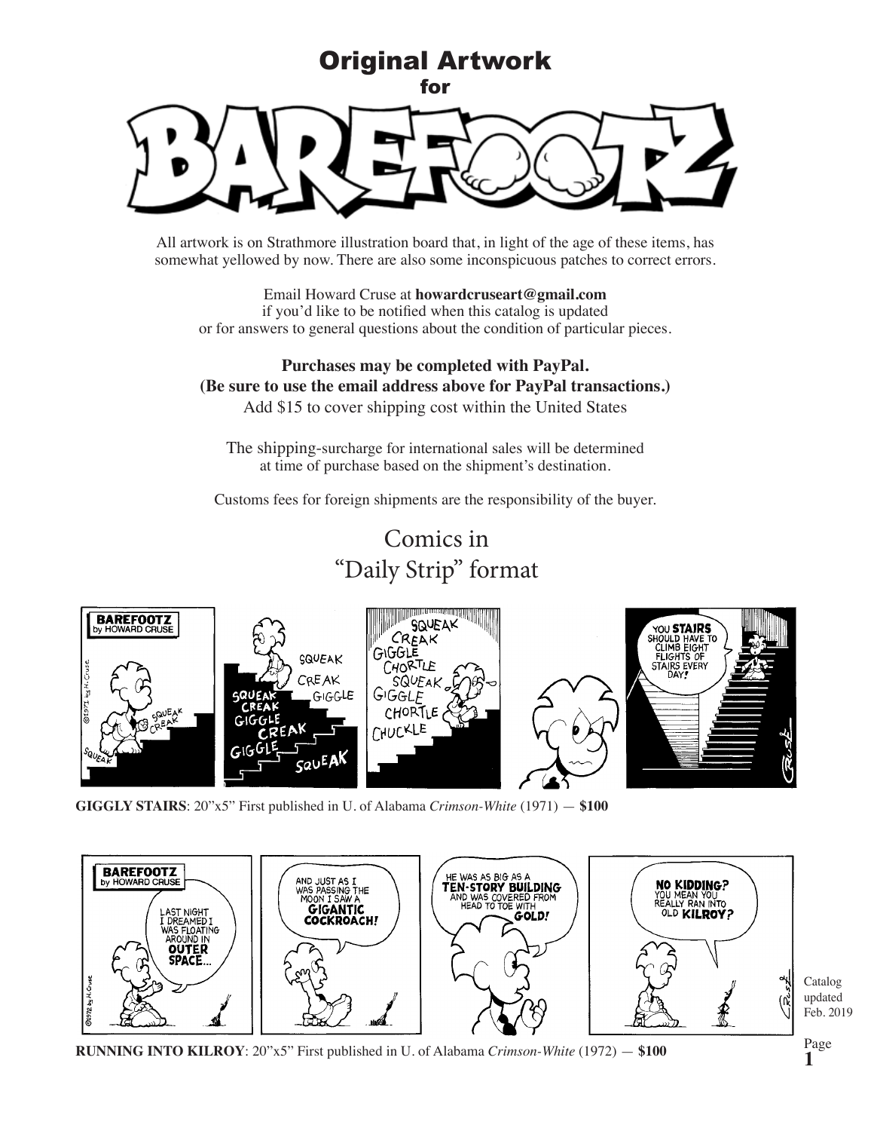

All artwork is on Strathmore illustration board that, in light of the age of these items, has somewhat yellowed by now. There are also some inconspicuous patches to correct errors.

Email Howard Cruse at **howardcruseart@gmail.com** if you'd like to be notified when this catalog is updated or for answers to general questions about the condition of particular pieces.

## **Purchases may be completed with PayPal. (Be sure to use the email address above for PayPal transactions.)** Add \$15 to cover shipping cost within the United States

The shipping-surcharge for international sales will be determined at time of purchase based on the shipment's destination.

Customs fees for foreign shipments are the responsibility of the buyer.

Comics in "Daily Strip" format



**GIGGLY STAIRS**: 20"x5" First published in U. of Alabama *Crimson-White* (1971) — **\$100**



**RUNNING INTO KILROY**: 20"x5" First published in U. of Alabama *Crimson-White* (1972) — **\$100**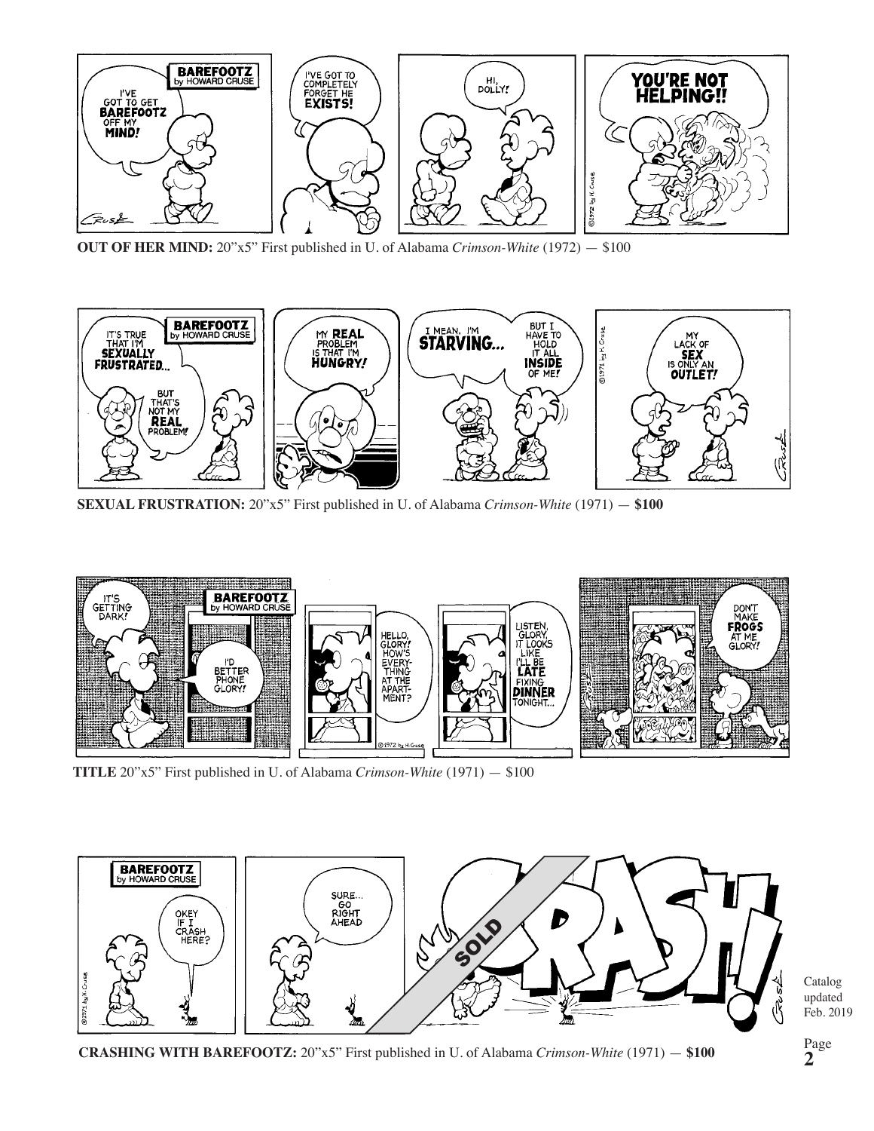

**OUT OF HER MIND:** 20"x5" First published in U. of Alabama *Crimson-White* (1972) — \$100



**SEXUAL FRUSTRATION:** 20"x5" First published in U. of Alabama *Crimson-White* (1971) — **\$100**



**TITLE** 20"x5" First published in U. of Alabama *Crimson-White* (1971) — \$100



Catalog updated Feb. 2019

**CRASHING WITH BAREFOOTZ:** 20"x5" First published in U. of Alabama *Crimson-White* (1971) — **\$100**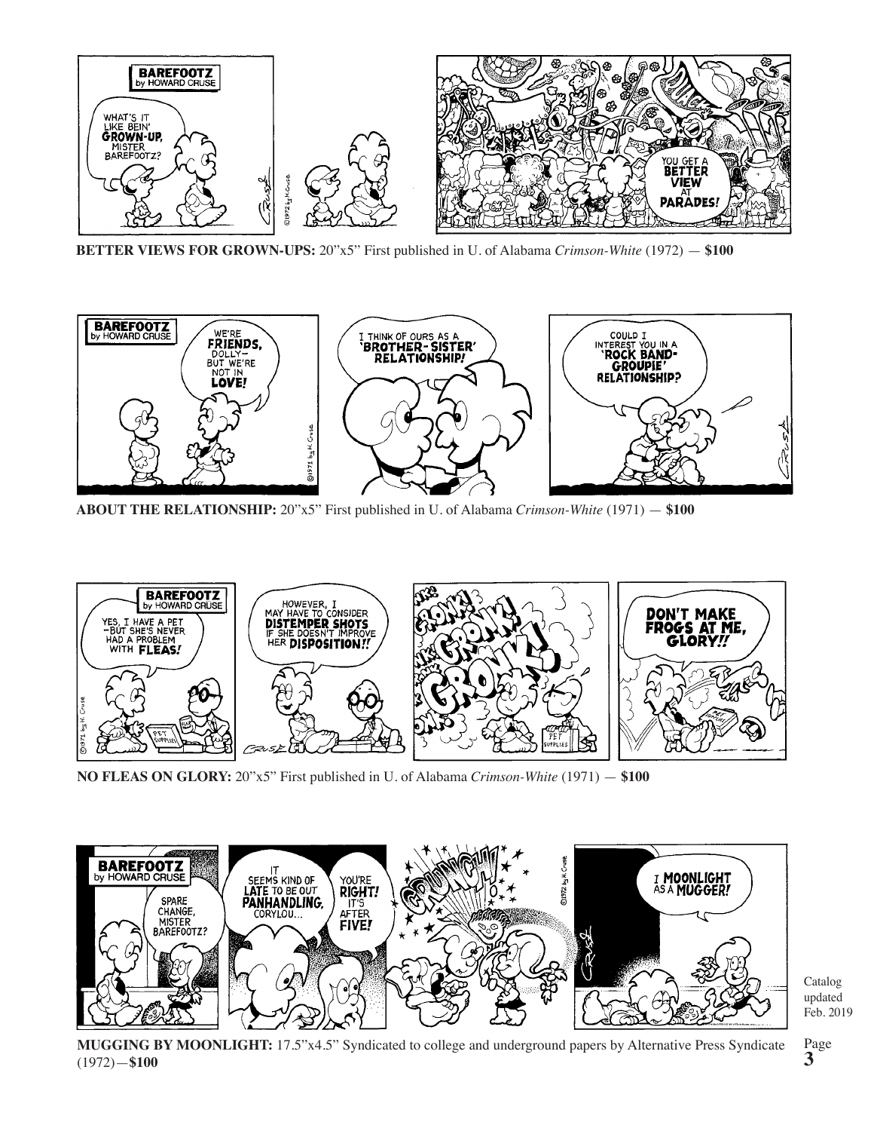

**BETTER VIEWS FOR GROWN-UPS:** 20"x5" First published in U. of Alabama *Crimson-White* (1972) — **\$100**



**ABOUT THE RELATIONSHIP:** 20"x5" First published in U. of Alabama *Crimson-White* (1971) — **\$100**



**NO FLEAS ON GLORY:** 20"x5" First published in U. of Alabama *Crimson-White* (1971) — **\$100**



Catalog updated Feb. 2019

**MUGGING BY MOONLIGHT:** 17.5"x4.5" Syndicated to college and underground papers by Alternative Press Syndicate (1972)—**\$100**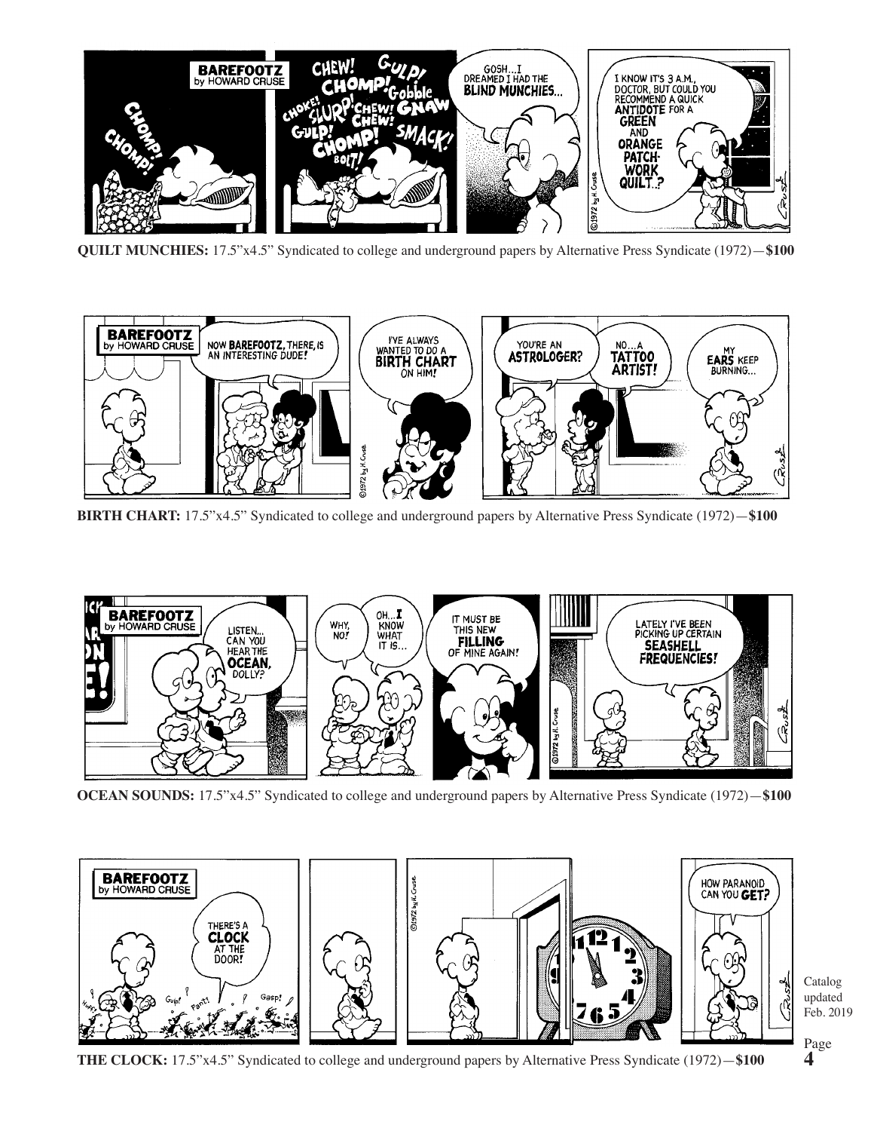

**QUILT MUNCHIES:** 17.5"x4.5" Syndicated to college and underground papers by Alternative Press Syndicate (1972)—**\$100**



**BIRTH CHART:** 17.5"x4.5" Syndicated to college and underground papers by Alternative Press Syndicate (1972)—**\$100**



**OCEAN SOUNDS:** 17.5"x4.5" Syndicated to college and underground papers by Alternative Press Syndicate (1972)—**\$100**



**THE CLOCK:** 17.5"x4.5" Syndicated to college and underground papers by Alternative Press Syndicate (1972)—**\$100**

Feb. 2019 Page **4**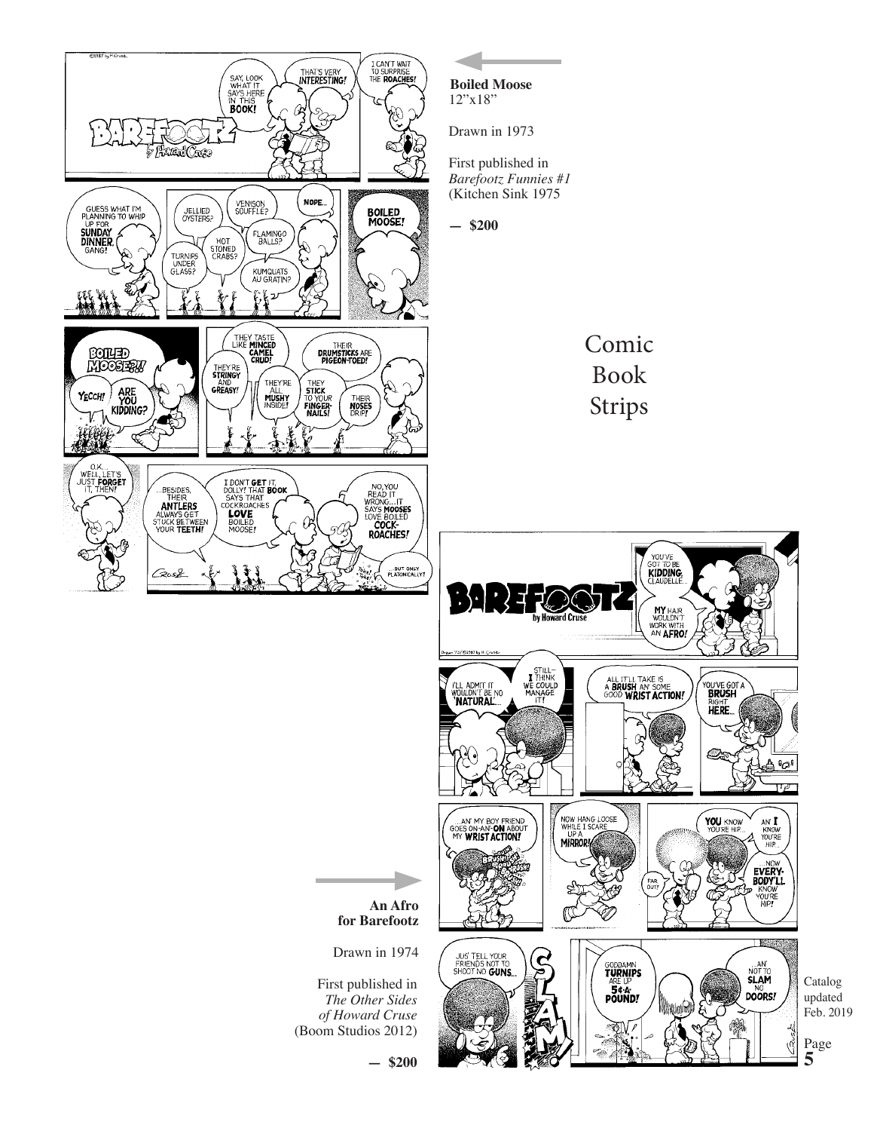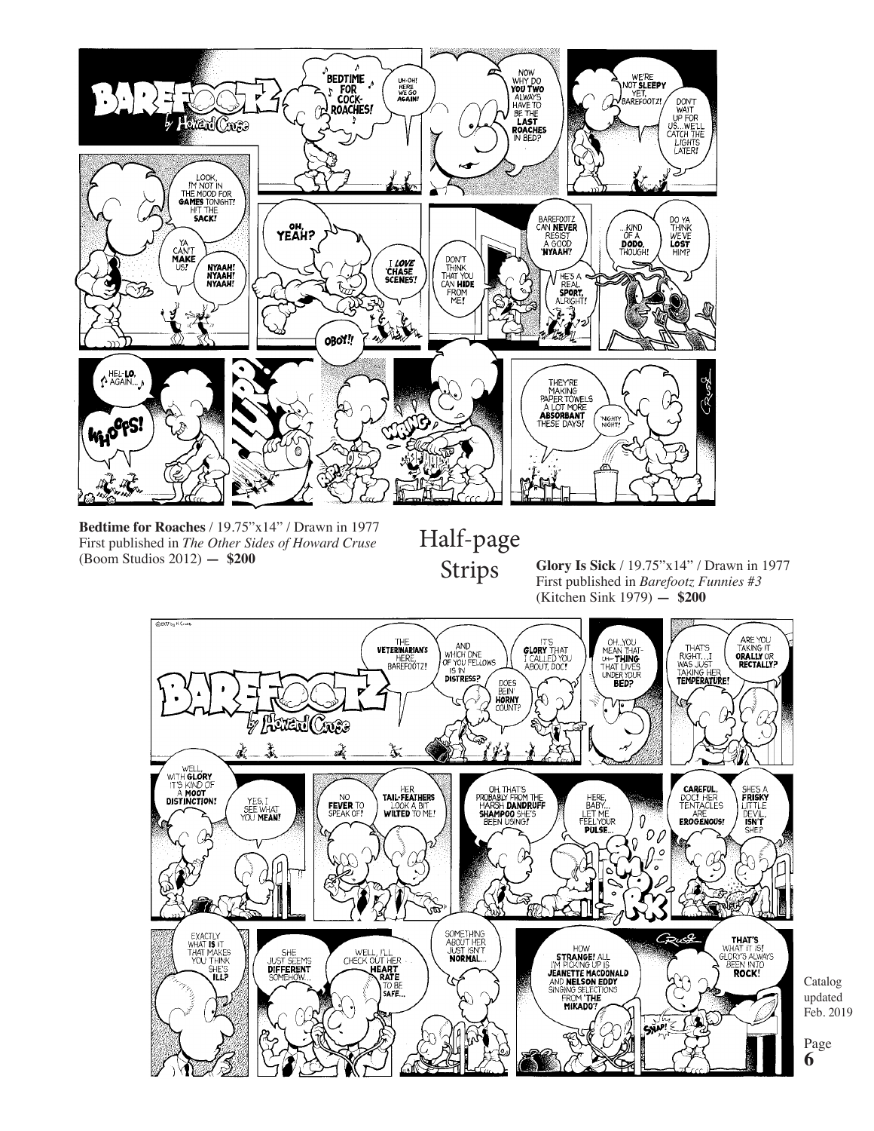

**Bedtime for Roaches** / 19.75"x14" / Drawn in 1977 First published in *The Other Sides of Howard Cruse* (Boom Studios 2012) **— \$200**

Half-page Strips

**Glory Is Sick** / 19.75"x14" / Drawn in 1977 First published in *Barefootz Funnies #3* (Kitchen Sink 1979) **— \$200**



Catalog updated Feb. 2019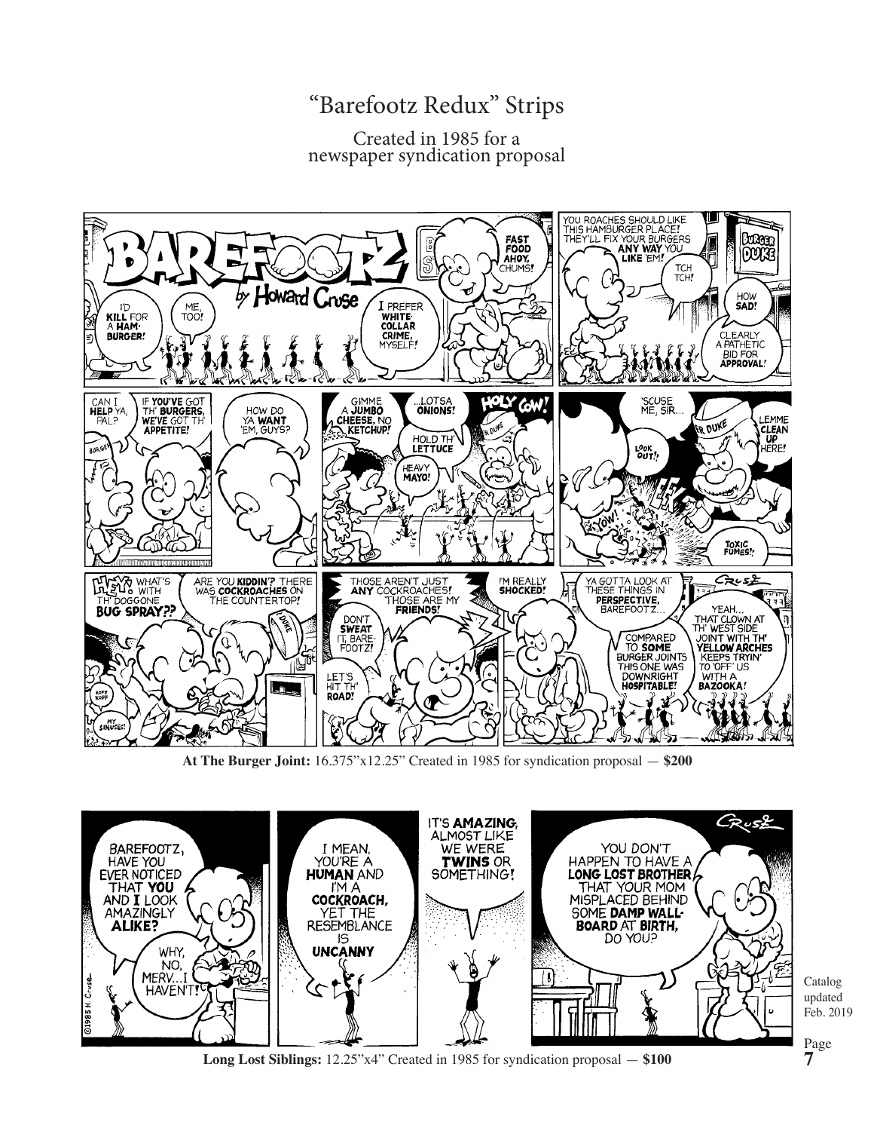## "Barefootz Redux" Strips

## Created in 1985 for a newspaper syndication proposal



**At The Burger Joint:** 16.375"x12.25" Created in 1985 for syndication proposal — **\$200**



**Long Lost Siblings:** 12.25"x4" Created in 1985 for syndication proposal — **\$100**

Catalog updated Feb. 2019